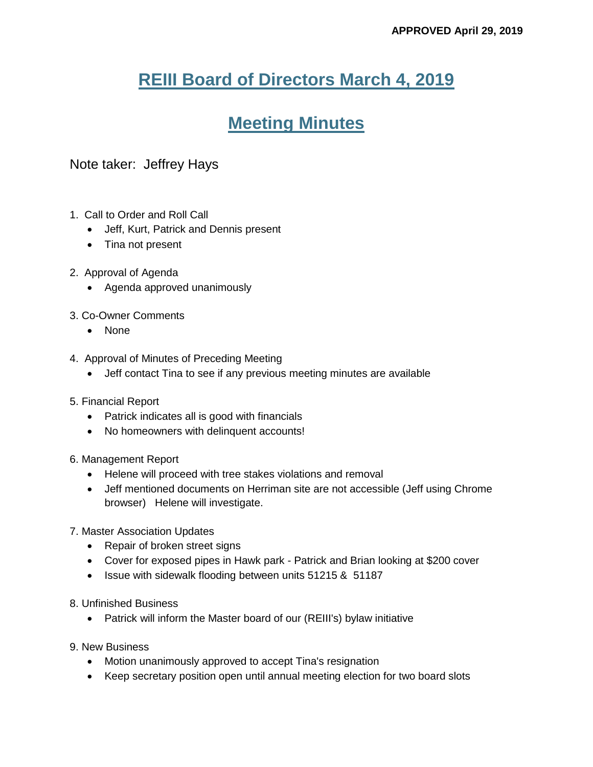## **REIII Board of Directors March 4, 2019**

# **Meeting Minutes**

## Note taker: Jeffrey Hays

- 1. Call to Order and Roll Call
	- Jeff, Kurt, Patrick and Dennis present
	- Tina not present
- 2. Approval of Agenda
	- Agenda approved unanimously
- 3. Co-Owner Comments
	- None
- 4. Approval of Minutes of Preceding Meeting
	- Jeff contact Tina to see if any previous meeting minutes are available
- 5. Financial Report
	- Patrick indicates all is good with financials
	- No homeowners with delinquent accounts!
- 6. Management Report
	- Helene will proceed with tree stakes violations and removal
	- Jeff mentioned documents on Herriman site are not accessible (Jeff using Chrome browser) Helene will investigate.
- 7. Master Association Updates
	- Repair of broken street signs
	- Cover for exposed pipes in Hawk park Patrick and Brian looking at \$200 cover
	- Issue with sidewalk flooding between units 51215 & 51187
- 8. Unfinished Business
	- Patrick will inform the Master board of our (REIII's) bylaw initiative
- 9. New Business
	- Motion unanimously approved to accept Tina's resignation
	- Keep secretary position open until annual meeting election for two board slots